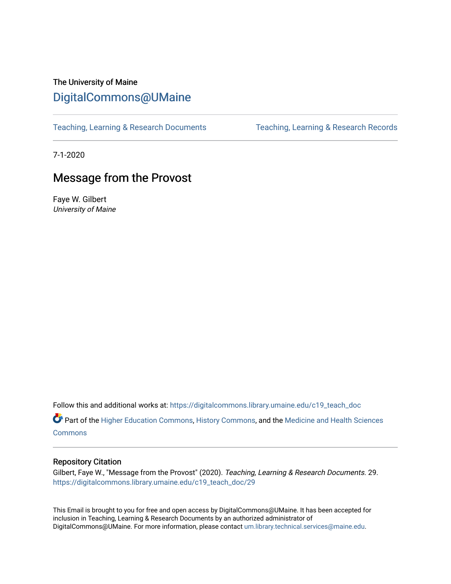# The University of Maine [DigitalCommons@UMaine](https://digitalcommons.library.umaine.edu/)

[Teaching, Learning & Research Documents](https://digitalcommons.library.umaine.edu/c19_teach_doc) [Teaching, Learning & Research Records](https://digitalcommons.library.umaine.edu/c19_teach) 

7-1-2020

# Message from the Provost

Faye W. Gilbert University of Maine

Follow this and additional works at: [https://digitalcommons.library.umaine.edu/c19\\_teach\\_doc](https://digitalcommons.library.umaine.edu/c19_teach_doc?utm_source=digitalcommons.library.umaine.edu%2Fc19_teach_doc%2F29&utm_medium=PDF&utm_campaign=PDFCoverPages)

Part of the [Higher Education Commons,](http://network.bepress.com/hgg/discipline/1245?utm_source=digitalcommons.library.umaine.edu%2Fc19_teach_doc%2F29&utm_medium=PDF&utm_campaign=PDFCoverPages) [History Commons,](http://network.bepress.com/hgg/discipline/489?utm_source=digitalcommons.library.umaine.edu%2Fc19_teach_doc%2F29&utm_medium=PDF&utm_campaign=PDFCoverPages) and the [Medicine and Health Sciences](http://network.bepress.com/hgg/discipline/648?utm_source=digitalcommons.library.umaine.edu%2Fc19_teach_doc%2F29&utm_medium=PDF&utm_campaign=PDFCoverPages)  **[Commons](http://network.bepress.com/hgg/discipline/648?utm_source=digitalcommons.library.umaine.edu%2Fc19_teach_doc%2F29&utm_medium=PDF&utm_campaign=PDFCoverPages)** 

## Repository Citation

Gilbert, Faye W., "Message from the Provost" (2020). Teaching, Learning & Research Documents. 29. [https://digitalcommons.library.umaine.edu/c19\\_teach\\_doc/29](https://digitalcommons.library.umaine.edu/c19_teach_doc/29?utm_source=digitalcommons.library.umaine.edu%2Fc19_teach_doc%2F29&utm_medium=PDF&utm_campaign=PDFCoverPages) 

This Email is brought to you for free and open access by DigitalCommons@UMaine. It has been accepted for inclusion in Teaching, Learning & Research Documents by an authorized administrator of DigitalCommons@UMaine. For more information, please contact [um.library.technical.services@maine.edu](mailto:um.library.technical.services@maine.edu).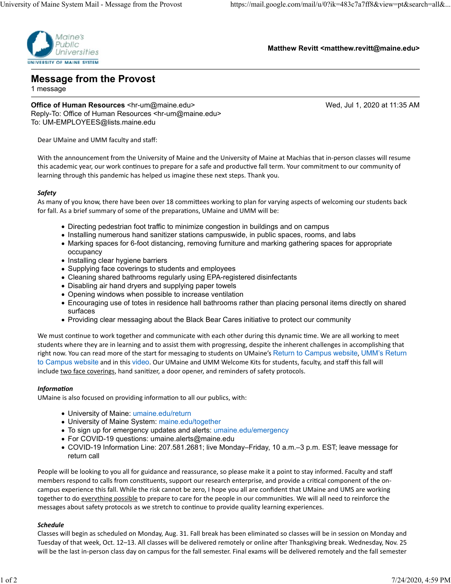

**Matthew Revitt <matthew.revitt@maine.edu>**

**Message from the Provost**

1 message

**Office of Human Resources** <hr-um@maine.edu> Wed, Jul 1, 2020 at 11:35 AM Reply-To: Office of Human Resources <hr-um@maine.edu> To: UM-EMPLOYEES@lists.maine.edu

Dear UMaine and UMM faculty and staff:

With the announcement from the University of Maine and the University of Maine at Machias that in‐person classes will resume this academic year, our work continues to prepare for a safe and productive fall term. Your commitment to our community of learning through this pandemic has helped us imagine these next steps. Thank you.

#### *Safety*

As many of you know, there have been over 18 committees working to plan for varying aspects of welcoming our students back for fall. As a brief summary of some of the preparations, UMaine and UMM will be:

- Directing pedestrian foot traffic to minimize congestion in buildings and on campus
- Installing numerous hand sanitizer stations campuswide, in public spaces, rooms, and labs
- Marking spaces for 6-foot distancing, removing furniture and marking gathering spaces for appropriate occupancy
- Installing clear hygiene barriers
- Supplying face coverings to students and employees
- Cleaning shared bathrooms regularly using EPA-registered disinfectants
- Disabling air hand dryers and supplying paper towels
- Opening windows when possible to increase ventilation
- Encouraging use of totes in residence hall bathrooms rather than placing personal items directly on shared surfaces
- Providing clear messaging about the Black Bear Cares initiative to protect our community

We must continue to work together and communicate with each other during this dynamic time. We are all working to meet students where they are in learning and to assist them with progressing, despite the inherent challenges in accomplishing that right now. You can read more of the start for messaging to students on UMaine's Return to Campus website, UMM's Return to Campus website and in this video. Our UMaine and UMM Welcome Kits for students, faculty, and staff this fall will include two face coverings, hand sanitizer, a door opener, and reminders of safety protocols.

#### *InformaƟon*

UMaine is also focused on providing information to all our publics, with:

- University of Maine: umaine.edu/return
- University of Maine System: maine.edu/together
- To sign up for emergency updates and alerts: umaine.edu/emergency
- For COVID-19 questions: umaine.alerts@maine.edu
- COVID-19 Information Line: 207.581.2681; live Monday–Friday, 10 a.m.–3 p.m. EST; leave message for return call

People will be looking to you all for guidance and reassurance, so please make it a point to stay informed. Faculty and staff members respond to calls from constituents, support our research enterprise, and provide a critical component of the oncampus experience this fall. While the risk cannot be zero, I hope you all are confident that UMaine and UMS are working together to do everything possible to prepare to care for the people in our communities. We will all need to reinforce the messages about safety protocols as we stretch to continue to provide quality learning experiences.

#### *Schedule*

Classes will begin as scheduled on Monday, Aug. 31. Fall break has been eliminated so classes will be in session on Monday and Tuesday of that week, Oct. 12–13. All classes will be delivered remotely or online after Thanksgiving break. Wednesday, Nov. 25 will be the last in‐person class day on campus for the fall semester. Final exams will be delivered remotely and the fall semester